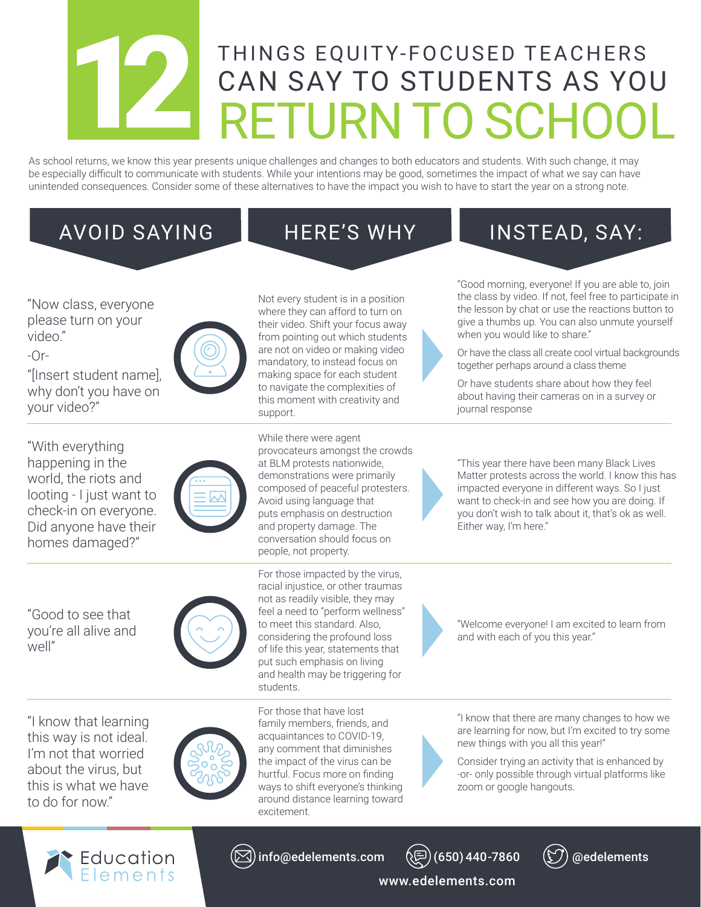## THINGS EQUITY-FOCUSED TEACHERS<br>
CAN SAY TO STUDENTS AS YOU CAN SAY TO STUDENTS AS YOU

As school returns, we know this year presents unique challenges and changes to both educators and students. With such change, it may be especially difficult to communicate with students. While your intentions may be good, sometimes the impact of what we say can have unintended consequences. Consider some of these alternatives to have the impact you wish to have to start the year on a strong note.

## "Now class, everyone please turn on your video."

-Or-

"[Insert student name], why don't you have on your video?"

"With everything happening in the world, the riots and looting - I just want to check-in on everyone. Did anyone have their homes damaged?"

"Good to see that you're all alive and well"



their video. Shift your focus away from pointing out which students are not on video or making video mandatory, to instead focus on making space for each student to navigate the complexities of this moment with creativity and support.

Not every student is in a position where they can afford to turn on

While there were agent provocateurs amongst the crowds at BLM protests nationwide, demonstrations were primarily composed of peaceful protesters. Avoid using language that puts emphasis on destruction and property damage. The conversation should focus on people, not property.

For those impacted by the virus, racial injustice, or other traumas not as readily visible, they may feel a need to "perform wellness" to meet this standard. Also, considering the profound loss of life this year, statements that put such emphasis on living and health may be triggering for students.

"I know that learning this way is not ideal. I'm not that worried about the virus, but this is what we have to do for now."



For those that have lost family members, friends, and acquaintances to COVID-19, any comment that diminishes the impact of the virus can be hurtful. Focus more on finding ways to shift everyone's thinking around distance learning toward excitement.



AVOID SAYING **HERE'S WHY** INSTEAD, SAY:

"Good morning, everyone! If you are able to, join the class by video. If not, feel free to participate in the lesson by chat or use the reactions button to give a thumbs up. You can also unmute yourself when you would like to share."

Or have the class all create cool virtual backgrounds together perhaps around a class theme

Or have students share about how they feel about having their cameras on in a survey or journal response

"This year there have been many Black Lives Matter protests across the world. I know this has impacted everyone in different ways. So I just want to check-in and see how you are doing. If you don't wish to talk about it, that's ok as well. Either way, I'm here."

"Welcome everyone! I am excited to learn from and with each of you this year."

"I know that there are many changes to how we are learning for now, but I'm excited to try some new things with you all this year!"

Consider trying an activity that is enhanced by -or- only possible through virtual platforms like zoom or google hangouts.









www.edelements.com